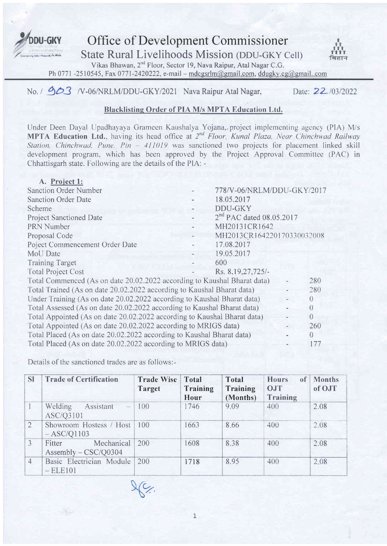

Office of Development Commissioner

State Rural Livelihoods Mission (DDU-GKY Cell)

Vikas Bhawan,2"d Floor, Sector 19, Nava Raipur, Atal Nagar C.G.

Ph 0771 -2510545, Fax 0771-2420222, e-mail - mdcgsrlm@gmail.com, ddugky.cg@gmail..com

# No. |  $\triangle$ 3 /V-06/NRLM/DDU-GKY/2021 Nava Raipur Atal Nagar, Date: 22/03/2022

# Blacklistine Order of PIA M/s MPTA Education Ltd.

Under Deen Dayal Upadhayaya Grameen Kaushalya Yojana,. project implementing agcncy (PIA) M/s **MPTA Education Ltd.**, having its head office at 2<sup>nd</sup> Floor, Kunal Plaza, Near Chinchwad Railway Station, Chinchwad, Pune, Pin -  $411019$  was sanctioned two projects for placement linked skill development program, which has been approved by the Project Approval Committee (PAC) in Chhattisgarh state. Following are the details of the PIA: -

| A. Project 1:                                                            |                            |                  |
|--------------------------------------------------------------------------|----------------------------|------------------|
| <b>Sanction Order Number</b>                                             | 778/V-06/NRLM/DDU-GKY/2017 |                  |
| <b>Sanction Order Date</b>                                               | 18.05.2017                 |                  |
| Scheme                                                                   | DDU-GKY                    |                  |
| <b>Project Sanctioned Date</b>                                           | $2nd$ PAC dated 08.05.2017 |                  |
| <b>PRN Number</b>                                                        | MH20131CR1642              |                  |
| Proposal Code                                                            | MH2013CR164220170330032008 |                  |
| Poject Commencement Order Date                                           | 17.08.2017                 |                  |
| MoU Date                                                                 | 19.05.2017                 |                  |
| <b>Training Target</b>                                                   | 600                        |                  |
| <b>Total Project Cost</b>                                                | Rs. 8, 19, 27, 725/-       |                  |
| Total Commenced (As on date 20.02.2022 according to Kaushal Bharat data) |                            | 280              |
| Total Trained (As on date 20.02.2022 according to Kaushal Bharat data)   |                            | 280              |
| Under Training (As on date 20.02.2022 according to Kaushal Bharat data)  |                            | $\left( \right)$ |
| Total Assessed (As on date 20.02.2022 according to Kaushal Bharat data)  |                            | $\left( \right)$ |
| Total Appointed (As on date 20.02.2022 according to Kaushal Bharat data) |                            | $\Omega$         |
| Total Appointed (As on date 20.02.2022 according to MRIGS data)          |                            | 260              |
| Total Placed (As on date 20.02.2022 according to Kaushal Bharat data)    |                            | $\Omega$         |
| Total Placed (As on date 20.02.2022 according to MRIGS data)             |                            | 177              |

Details of the sanctioned trades are as follows:

| <b>SI</b>      | <b>Trade of Certification</b>                                 | <b>Trade Wise</b><br>Target | <b>Total</b><br>Training<br><b>Hour</b> | <b>Total</b><br>Training<br>(Months) | <b>Hours</b><br>of<br><b>OJT</b><br><b>Training</b> | <b>Months</b><br>of OJT |
|----------------|---------------------------------------------------------------|-----------------------------|-----------------------------------------|--------------------------------------|-----------------------------------------------------|-------------------------|
|                | Welding<br>Assistant<br>$\overline{\phantom{a}}$<br>ASC/Q3101 | 100                         | 1746                                    | 9.09                                 | 400                                                 | 2.08                    |
| $\overline{2}$ | Showroom Hostess / Host<br>$-$ ASC/Q1103                      | 100                         | 1663                                    | 8.66                                 | 400                                                 | 2.08                    |
| 3              | Mechanical<br>Fitter<br>Assembly $-$ CSC/Q0304                | 200                         | 1608                                    | 8.38                                 | 400                                                 | 2.08                    |
| $\overline{4}$ | Basic Electrician Module<br>$-ELE101$                         | 200                         | 1718                                    | 8.95                                 | 400                                                 | 2.08                    |

 $26$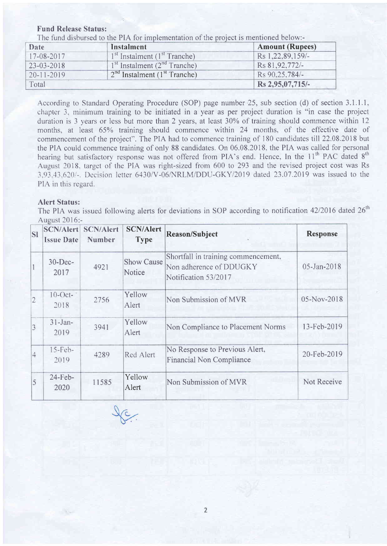#### Fund Release Status:

The fund disbursed to the PIA for implementation of the project is mentioned below:-

| Date             | Instalment                                 | <b>Amount (Rupees)</b> |
|------------------|--------------------------------------------|------------------------|
| $17-08-2017$     | $1st$ Instalment ( $1st$ Tranche)          | Rs 1,22,89,159/-       |
| 23-03-2018       | $1st$ Instalment ( $2nd$ Tranche)          | Rs 81, 92, 772/-       |
| $20 - 11 - 2019$ | $2nd$ Instalment (1 <sup>st</sup> Tranche) | Rs 90.25.784/-         |
| Total            |                                            | Rs 2,95,07,715/-       |

According to Standard Operating Procedure (SOP) page number 25, sub section (d) of section 3.1.1.1, chapter 3. minimum training to be initiated in a year as per project duration is "in case the project duration is 3 years or less but more than 2 years, at least 30% of training should commence within 12 months, at least 65% training should commence within 24 months, of the effective date of commencement of the project". The PIA had to commence training of 180 candidates till 22.08.2018 but the PIA could commence training of only 88 candidates. On 06.08.2018. the PIA was called for personal hearing but satisfactory response was not offered from PIA's end. Hence, In the 11<sup>th</sup> PAC dated 8<sup>th</sup> August 2018. target of the PIA was right-sized from 600 Io 293 and the revised project cost was Rs 3.93.43.610/-. I)ccision lctter 6430/V-06NRLM/DDU-GKY/2019 dated 23.07.2019 was issued to the PIA in this regard.

#### Alert Status:

The PIA was issued following alerts for deviations in SOP according to notification 42/2016 dated 26<sup>th</sup> August 2016:-

| <b>SI</b>      | SCN/Alert<br><b>Issue Date</b> | <b>SCN/Alert</b><br><b>Number</b> | <b>SCN/Alert</b><br><b>Type</b> | Reason/Subject                                                                         | <b>Response</b>    |
|----------------|--------------------------------|-----------------------------------|---------------------------------|----------------------------------------------------------------------------------------|--------------------|
|                | $30 - Dec-$<br>2017            | 4921                              | <b>Show Cause</b><br>Notice     | Shortfall in training commencement,<br>Non adherence of DDUGKY<br>Notification 53/2017 | 05-Jan-2018        |
| $ 2\rangle$    | $10$ -Oct-<br>2018             | 2756                              | Yellow<br>Alert                 | Non Submission of MVR                                                                  | 05-Nov-2018        |
| $\overline{3}$ | $31 - Jan-$<br>2019            | 3941                              | Yellow<br>Alert                 | Non Compliance to Placement Norms                                                      | 13-Feb-2019        |
| $\overline{4}$ | $15$ -Feb-<br>2019             | 4289                              | Red Alert                       | No Response to Previous Alert,<br><b>Financial Non Compliance</b>                      | 20-Feb-2019        |
| 5              | $24$ -Feb-<br>2020             | 11585                             | Yellow<br>Alert                 | Non Submission of MVR                                                                  | <b>Not Receive</b> |

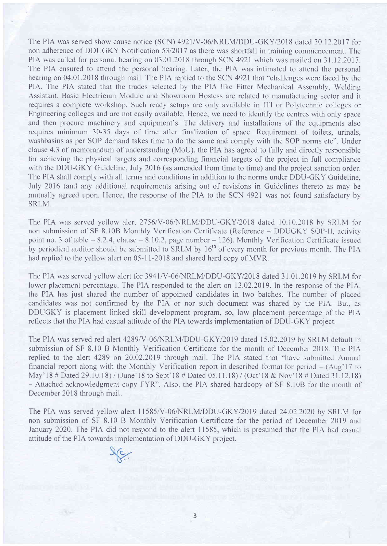The PIA was served show cause notice (SCN) 4921/V-06/NRLM/DDU-GKY/2018 dated 30.12.2017 for non adherence of DDUGKY Notification 53/2017 as there was shortfall in training commencement. The PIA was called for personal hearing on 03.01.2018 through SCN 4921 which was mailed on 31.12.2017. The PIA ensured to attend the personal hearing. Later, the PIA was intimated to attend the personal hearing on 04.01.2018 through mail. The PIA replied to the SCN 4921 that "challenges were faced by the PlA. The PIA stated that the trades selected by the PIA like Fitter Mechanical Assembly. Welding Assistant, Basic Electrician Module and Showroom Hostess are related to manufacturing sector and it requires a complete workshop. Such ready setups are only available in ITI or Polytechnic colleges or Engineering colleges and are not easily available. Hence, we need to identify the centres with only space and then procure machinery and equipment's. The delivery and installations of the equipments also requires minimum 30-35 days of time after finalization of space. Requirement of toilets. urinals, washbasins as per SOP demand takes time to do the same and comply with the SOP norms etc". Under clause 4.3 of memorandum of understanding (MoU), the PIA has agreed to fully and directly responsible for achieving the physical targets and corresponding financial targets of the project in full compliance with the DDU-GKY Guideline, July 2016 (as amended from time to time) and the project sanction order. The PIA shall comply with all terms and conditions in addition to the norms under DDU-GKY Guideline, July 2016 (and any additional requirements arising out of revisions in Guidelines thereto as may be mutually agreed upon. Hence, the response of the PIA to the SCN 4921 was not found satisfactory by SRLM.

The PIA was served yellow alert 2756/V-06/NRLM/DDU-GKY/2018 dated 10.10.2018 by SRLM for non submission of SF 8.10B Monthly Verification Certificate (Reference - DDUGKY SOP-II, activity point no. 3 of table  $-8.2.4$ , clause  $-8.10.2$ , page number  $- 126$ ). Monthly Verification Certificate issued by periodical auditor should be submitted to SRLM by 16<sup>th</sup> of every month for previous month. The PIA had replied to the yellow alert on 05-11-2018 and shared hard copy of MVR.

The PIA was served yellow alert for 3941/V-06/NRLM/DDU-GKY/2018 dated 31.01.2019 by SRLM for lower placement percentage. The PIA responded to the alert on 13.02.2019. In the response of the PIA. the PIA has just shared the number of appointed candidates in two batches. The number of placed candidates was not confirmed by the PIA or nor such document was shared by the PIA. But, as DDUGKY is placement linked skill development program, so, low placement percentage of the PIA reflects that the PIA had casual attitude of the PIA towards implementation of DDU-GKY project.

The PIA was served red alert 4289/V-06/NRLM/DDU-GKY/2019 dated 15.02.2019 by SRLM default in submission of SF 8.10 B Monthly Verification Certificate for the month of December 2018. The PIA replied to the alert 4289 on 20.02.2019 through mail. The PIA stated that "have submitted Annual financial report along with the Monthly Verification report in described format for period  $-$  (Aug'17 to May'18 # Dated 29.10.18) / (June'18 to Sept'18 # Dated 05.11.18) / (Oct'18 & Nov'18 # Dated 31.12.18) - Attached acknowledgment copy FYR". Also, the PIA shared hardcopy of SF 8.10B for the month of December 2018 through mail.

The PIA was served yellow alert 11585/V-06/NRLM/DDU-GKY/2019 dated 24.02.2020 by SRLM for non submission of SF 8.10 B Monthly Verification Certificate for the period of December 2019 and January 2020. The PIA did not respond to the alert 11585, which is presumed that the PIA had casual attitude of the PIA towards implementation of DDU-GKY project.



a.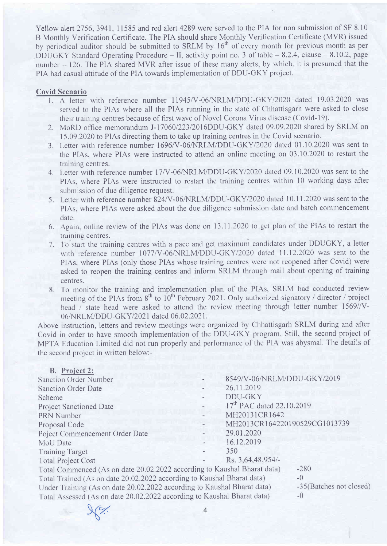Yellow alert 2756, 3941, 11585 and red alert 4289 were served to the PIA for non submission of SF 8.10 B Monthly Verification Certificate. The PIA should share Monthly Verification Certificate (MVR) issued by periodical auditor should be submitted to SRLM by 16<sup>th</sup> of every month for previous month as per DDUGKY Standard Operating Procedure - II, activity point no. 3 of table - 8.2.4, clause - 8.10.2, page number - 126. The PIA shared MVR after issue of these many alerts, by which, it is presumed that the PIA had casual attitude of the PIA towards implementation of DDU-GKY project.

#### Covid Scenario

- 1. A letter with reference number 11945/V-06/NRLM/DDU-GKY/2020 dated 19.03.2020 was served to the PIAs where all the PIAs running in the state of Chhattisgarh were asked to close their training centres because of first wave of Novel Corona Virus disease (Covid-19).
- 2. MoRD office memorandum J-17060/223/2016DDU-GKY dated 09.09.2020 shared by SRLM on 15.09.2020 to PIAs directing them to take up training centres in the Covid scenario.
- 3. Letter with reference number 1696/V-06/NRLM/DDU-GKY/2020 dated 01.10.2020 was sent to the PIAs, where PIAs were instructed to attend an online meeting on 03.10.2020 to restart the training centres.
- 4. Letter with reference number 17/V-06/NRLM/DDU-GKY/2020 dated 09.10.2020 was sent to the PIAs, where PIAs were instructed to restart the training centres within 10 working days after submission of due diligence request.
- 5. Letter with reference number 824/V-06/NRLM/DDU-GKY/2020 dated 10.11.2020 was sent to the PIAs, where PIAs were asked about the due diligence submission date and batch commencement date.
- 6. Again, online review of the PIAs was done on 13.11.2020 to get plan of the PIAs to restart the training centres.
- 7. To start the training centres with a pace and get maximum candidates under DDUGKY, a letter with reference number 1077/V-06/NRLM/DDU-GKY/2020 dated 11.12.2020 was sent to the PIAs, where PIAs (only those PIAs whose training centres were not reopened after Covid) were asked to reopen the training centres and inform SRLM through mail about opening of training centres.
- 8. To monitor the training and implementation plan of the PIAs, SRLM had conducted review meeting of the PIAs from  $8<sup>th</sup>$  to  $10<sup>th</sup>$  February 2021. Only authorized signatory / director / project head / state head were asked to attend the review meeting through letter number  $1569$ //V-06/NRLM/DDU-GKY/2021 dated 06.02.2021.

Above instruction, letters and review meetings were organized by Chhattisgarh SRLM during and after Covid in order to have smooth implementation of the DDU-GKY program. Still, the second project of MPTA Education Limited did not run properly and performance of the PIA was abysmal. The details of the second project in written below:-

| B. Project 2:                                                            |                                       |                         |
|--------------------------------------------------------------------------|---------------------------------------|-------------------------|
| <b>Sanction Order Number</b>                                             | 8549/V-06/NRLM/DDU-GKY/2019           |                         |
| <b>Sanction Order Date</b>                                               | 26.11.2019                            |                         |
| Scheme                                                                   | <b>DDU-GKY</b>                        |                         |
| <b>Project Sanctioned Date</b>                                           | 17 <sup>th</sup> PAC dated 22.10.2019 |                         |
| PRN Number                                                               | MH20131CR1642                         |                         |
| Proposal Code                                                            | MH2013CR164220190529CG1013739         |                         |
| Poject Commencement Order Date                                           | 29.01.2020                            |                         |
| MoU Date                                                                 | 16.12.2019                            |                         |
| <b>Training Target</b>                                                   | 350                                   |                         |
| <b>Total Project Cost</b>                                                | Rs. 3,64,48,954/-                     |                         |
| Total Commenced (As on date 20.02.2022 according to Kaushal Bharat data) |                                       | $-280$                  |
| Total Trained (As on date 20.02.2022 according to Kaushal Bharat data)   |                                       | $-0$                    |
| Under Training (As on date 20.02.2022 according to Kaushal Bharat data)  |                                       | -35(Batches not closed) |
| Total Assessed (As on date 20.02.2022 according to Kaushal Bharat data)  |                                       | $-()$                   |
|                                                                          |                                       |                         |

ry.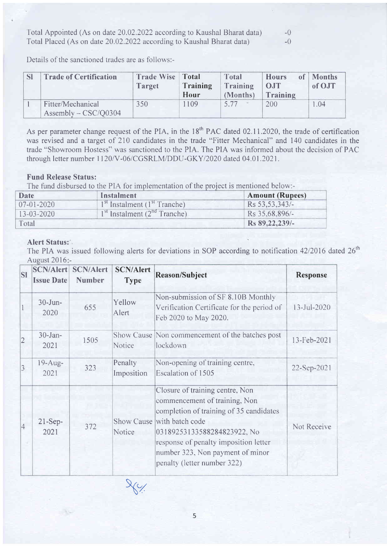Total Appointed (As on date 20.02.2022 according to Kaushal Bharat data)  $-0$ Total Placed (As on date 20.02.2022 according to Kaushal Bharat data)  $-0$ 

Details of the sanctioned trades are as follows:-

| $\mathbb{C}^1$ | <b>Trade of Certification</b>               | <b>Trade Wise Total</b><br><b>Target</b> | Training<br>Hour | Total<br>Training<br>(Months) | <b>Hours</b><br>OJT<br>Training | of Months<br>of OJT |
|----------------|---------------------------------------------|------------------------------------------|------------------|-------------------------------|---------------------------------|---------------------|
|                | Fitter/Mechanical<br>Assembly $-$ CSC/Q0304 | 350                                      | 1109             | 5.77                          | 200                             | 0.04                |

As per parameter change request of the PIA, in the 18<sup>th</sup> PAC dated 02.11.2020, the trade of certification was revised and a target of 210 candidates in the trade "Fitter Mechanical" and 140 candidates in the trade "Showroom Hostess'' was sanctioned to the PIA. The PIA was informed about the decision of PAC through letter number 1120/V-06/CGSRLM/DDU-GKY/2020 dated 04.01.2021.

### Fund Release Status:

The fund disbursed to the PIA for implementation of the project is mentioned below:-

| <b>Date</b>      | Instalment                        | <b>Amount (Rupees)</b> |
|------------------|-----------------------------------|------------------------|
| $07-01-2020$     | $1st$ Instalment ( $1st$ Tranche) | Rs 53, 53, 343/-       |
| $13 - 03 - 2020$ | $1st$ Instalment ( $2nd$ Tranche) | Rs 35,68,896/-         |
| Total            |                                   | Rs 89, 22, 239/-       |

# Alert Status:

The PIA was issued following alerts for deviations in SOP according to notification  $42/2016$  dated  $26<sup>th</sup>$ Aueust 2016

| <b>SI</b>      | <b>SCN/Alert</b><br><b>Issue Date</b> | <b>SCN/Alert</b><br><b>Number</b> | <b>SCN/Alert</b><br><b>Type</b> | <b>Reason/Subject</b>                                                                                                                                                                                                                                                     | <b>Response</b> |
|----------------|---------------------------------------|-----------------------------------|---------------------------------|---------------------------------------------------------------------------------------------------------------------------------------------------------------------------------------------------------------------------------------------------------------------------|-----------------|
|                | $30 - Jun -$<br>2020                  | 655                               | Yellow<br>Alert                 | Non-submission of SF 8.10B Monthly<br>Verification Certificate for the period of<br>Feb 2020 to May 2020.                                                                                                                                                                 | 13-Jul-2020     |
| $\overline{2}$ | $30 - Jan-$<br>2021                   | 1505                              | <b>Notice</b>                   | Show Cause Non commencement of the batches post<br>lockdown                                                                                                                                                                                                               | 13-Feb-2021     |
| 3              | $19-Aug-$<br>2021                     | 323                               | Penalty<br>Imposition           | Non-opening of training centre,<br>Escalation of 1505                                                                                                                                                                                                                     | 22-Sep-2021     |
| $\overline{4}$ | $21-Sep-$<br>2021                     | 372                               | Show Cause<br>Notice            | Closure of training centre, Non<br>commencement of training, Non<br>completion of training of 35 candidates<br>with batch code<br>03189253133588284823922, No<br>response of penalty imposition letter<br>number 323, Non payment of minor<br>penalty (letter number 322) | Not Receive     |

5

 $\sqrt{2}$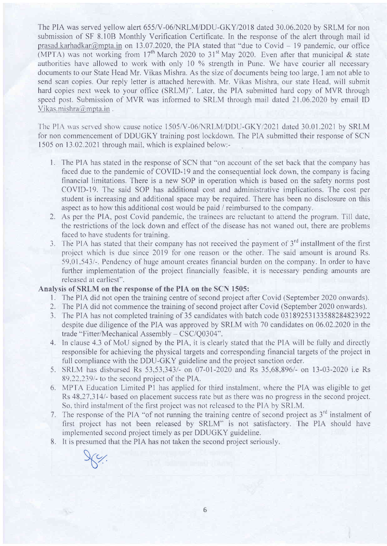The PIA was served yellow alert 655/V-06/NRLM/DDU-GKY/2018 dated 30.06.2020 by SRLM for non submission of SF 8.10B Monthly Verification Certificate. ln the response of the alert through mail id prasad.karhadkar@mpta.in on 13.07.2020, the PIA stated that "due to Covid – 19 pandemic, our office (MPTA) was not working from 17<sup>th</sup> March 2020 to 31<sup>st</sup> May 2020. Even after that municipal & state authorities have allowed to work with only 10  $\%$  strength in Pune. We have courier all necessary documents to our State Head Mr. Vikas Mishra. As the size of documents being too large, I am not able to send scan copies. Our reply letter is attached herewith. Mr. Vikas Mishra. our state Head. will submit hard copies next week to your office (SRLM)". Later. the PIA submitted hard copy of MVR through speed post. Submission of MVR was informed to SRLM through mail dated 21.06.2020 by email ID Vikas.mishra@mpta.in.

The PIA was served show cause notice 1505/V-06/NRLM/DDU-GKY/2021 dated 30.01.2021 by SRLM for non commencement of DDUGKY training post lockdown. The PIA submitted their response of SCN 1505 on 13.02.2021 through mail, which is explained below:-

- 1. The PIA has stated in the response of SCN that "on account of the set back that the company has faced due to the pandemic of COVID-19 and the consequential lock down, the company is facing financial limitations. There is a new SOP in operation which is based on the safety norms post COVID-I9. The said SOP has additional cost and administrative implications. The cost per student is increasing and additional space may be required. There has been no disclosure on this aspect as to how this additional cost would be paid / reimbursed to the company.
- 2. As per the PIA, post Covid pandemic, the trainees are reluctant to attend the program. 'Iill date, the restrictions of the lock down and effect of the disease has not waned out. there are problems faced to have students for training.<br>3. The PIA has stated that their company has not received the payment of  $3<sup>rd</sup>$  installment of the first
- project which is due since 2019 for one reason or the other. The said amount is around Rs, 59.01,543/-. Pendency of huge amount creates frnancial burden on the company. In order to have further implementation of the project financially feasible, it is necessary pending amounts are released at earliest".

## Analysis of SRLM on the response of the PIA on the SCN 1505:

- 1. The PIA did not open the training centre of second project after Covid (September 2020 onwards).
- 2. The PIA did not commence the training of second project after Covid (September 2020 onwards).
- 3. Ihe PIA has not completed training of 35 candidates with batch code 03\89253133588284823922 despite due diligence of the PIA was approved by SRLM with 70 candidates on 06.02.2020 in the trade "Fitter/Mechanical Assembly - CSC/Q0304".
- 4. In clause 4.3 of MoU signed by the PIA, it is clearly stated that the PIA will be fully and directly responsible for achieving the physical targets and corresponding financial targets of the project in full compliance with the DDU-GKY guideline and the project sanction order.
- 5. SRLM has disbursed Rs 53.53.3431- on 07-01-2020 and Rs 35,68,896/- on 13-03-2020 i.e Rs 89.222.391- to the second project of the PIA.
- 6. MPI'A Education Limited Pl has applied for third instalment, where the PIA was eligible to get Rs 48.27.314/- based on placement success ratc but as there was no progress in the second project. So, third instalment of the first project was not released to the PIA by SRLM.
- 7. The response of the PIA "of not running the training centre of second project as  $3<sup>rd</sup>$  instalment of first projecl has not been released by SRLM" is not satisfactory. The PIA should have implemented second project timely as per DDUGKY guideline.
- 8. It is presumed that the PIA has not taken the second project seriously.

 $\chi_{c/2}$ D'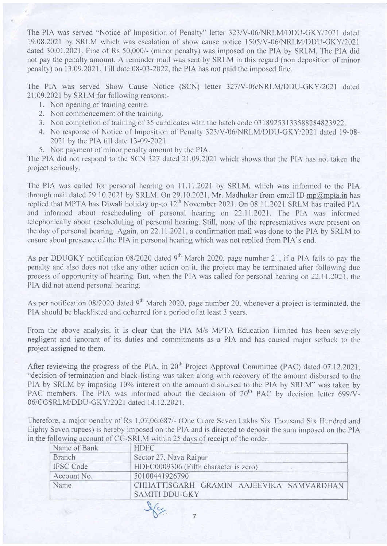The PIA was served "Notice of Imposition of Penalty" letter 323/V-06/NRLM/DDU-GKY/2021 dated 19.08.2021 by SRLM which was escalation of show cause notice 1505/V-06/NRLM/DDU-GKY/2021 dated  $30.01.2021$ . Fine of Rs  $50,000/4$  (minor penalty) was imposed on the PIA by SRLM. The PIA did not pay the penalty amount. A reminder mail was sent by SRLM in this regard (non deposition of minor penalty) on 13.09.2021 . Till date 08-03-2022. the PIA has not paid the imposed fine.

The PIA was served Show Cause Notice (SCN) letter 327/V-06/NRLM/DDU-GKY/2021 dated 21.09.2021by SRLM for following reasons:-

- <sup>1</sup>. Non opening of training centre.
- 2. Non commencement of the training.
- 3. Non completion of training of 35 candidates with the batch code 03 189253 I 33588284823922.
- 4. No response of Notice of Imposition of Penalty 323/V-06/NRLM/DDU-GKY/2021 dated 19-08-2021 by the PIA till date 13-09-2021.
- 5. Non payment of minor penalty amount by the PIA.

The PIA did not respond to the SCN 327 dated 21.09.2021 which shows that the PIA has not taken the project seriously.

The PIA was called for personal hearing on 11.11.2021 by SRLM, which was informed to the PIA through mail dated 29.10.2021 by SRLM. On 29.10.2021, Mr. Madhukar from email ID mp@mpta.in has replied that MPTA has Diwali holiday up-to 12<sup>th</sup> November 2021. On 08.11.2021 SRLM has mailed PIA and informed about rescheduling of personal hearing on 22.11.2021. The PIA was informed telephonically about rescheduling of personal hearing, Still, none of the representatives were present on the day of personal hearing. Again, on22.11.2021, a confirmation mail was done to the PIA by SRLM to ensure about presence of the PIA in personal hearing which was not replied from PIA's end.

As per DDUGKY notification 08/2020 dated 9<sup>th</sup> March 2020, page number 21, if a PIA fails to pay the penalty and also does not take any other action on it. the project may be terminated afier following due process of opportunity of hearing. But, when the PIA was called for personal hearing on 22.11.2021, the PIA did not attend personal hearing.

As per notification  $08/2020$  dated 9<sup>th</sup> March 2020, page number 20, whenever a project is terminated, the PIA should be blacklisted and debarred for a period of at least 3 years.

From the above analysis, it is clear that the PIA M/s MPTA Education Limited has been severely negligent and ignorant of its duties and commitments as a PIA and has caused major setback to the project assigned to them.

After reviewing the progress of the PIA, in 20<sup>th</sup> Project Approval Committee (PAC) dated 07.12.2021, "decision of termination and black-listing was taken along with recovery of the amount disbursed to the PIA by SRLM by imposing 10% interest on the amount disbursed to the PIA by SRLM" was taken by PAC members. The PIA was informed about the decision of  $20<sup>th</sup>$  PAC by decision letter 699/V-06/CGSRLM/DDU-GKY/2021 dated 14.12.2021.

Therefore, a major penalty of Rs 1,07,06.687/- (One Crore Seven Lakhs Six Thousand Six Hundred and Eighty Seven rupees) is hereby imposed on the PIA and is directed to deposit the sum imposed on the PIA in the following account of CG-SRLM within 25 days of receipt of the order.

| Name of Bank     | <b>HDFC</b>                                                       |
|------------------|-------------------------------------------------------------------|
| Branch           | Sector 27, Nava Raipur                                            |
| <b>IFSC</b> Code | HDFC0009306 (Fifth character is zero)                             |
| Account No.      | 50100441926790                                                    |
| Name             | CHHATTISGARH GRAMIN AAJEEVIKA SAMVARDHAN<br><b>SAMITI DDU-GKY</b> |